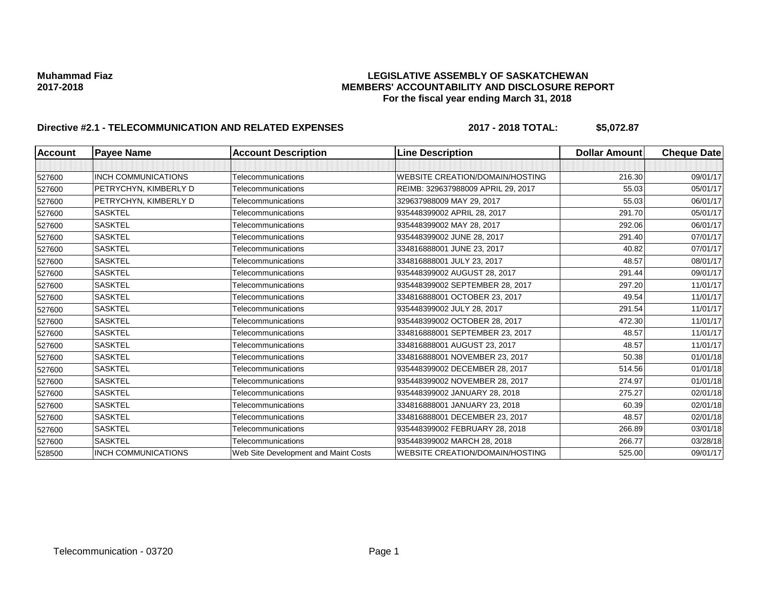### **Muhammad Fiaz LEGISLATIVE ASSEMBLY OF SASKATCHEWAN 2017-2018 MEMBERS' ACCOUNTABILITY AND DISCLOSURE REPORT For the fiscal year ending March 31, 2018**

# **Directive #2.1 - TELECOMMUNICATION AND RELATED EXPENSES 2017 - 2018 TOTAL: \$5,072.87**

| <b>Account</b> | <b>Payee Name</b>          | <b>Account Description</b>           | <b>Line Description</b>                | <b>Dollar Amount</b> | <b>Cheque Date</b> |
|----------------|----------------------------|--------------------------------------|----------------------------------------|----------------------|--------------------|
|                |                            |                                      |                                        |                      |                    |
| 527600         | <b>INCH COMMUNICATIONS</b> | Telecommunications                   | <b>WEBSITE CREATION/DOMAIN/HOSTING</b> | 216.30               | 09/01/17           |
| 527600         | PETRYCHYN, KIMBERLY D      | Telecommunications                   | REIMB: 329637988009 APRIL 29, 2017     | 55.03                | 05/01/17           |
| 527600         | PETRYCHYN, KIMBERLY D      | Telecommunications                   | 329637988009 MAY 29, 2017              | 55.03                | 06/01/17           |
| 527600         | <b>SASKTEL</b>             | Telecommunications                   | 935448399002 APRIL 28, 2017            | 291.70               | 05/01/17           |
| 527600         | <b>SASKTEL</b>             | Telecommunications                   | 935448399002 MAY 28, 2017              | 292.06               | 06/01/17           |
| 527600         | <b>SASKTEL</b>             | Telecommunications                   | 935448399002 JUNE 28, 2017             | 291.40               | 07/01/17           |
| 527600         | <b>SASKTEL</b>             | Telecommunications                   | 334816888001 JUNE 23, 2017             | 40.82                | 07/01/17           |
| 527600         | <b>SASKTEL</b>             | Telecommunications                   | 334816888001 JULY 23, 2017             | 48.57                | 08/01/17           |
| 527600         | <b>SASKTEL</b>             | Telecommunications                   | 935448399002 AUGUST 28, 2017           | 291.44               | 09/01/17           |
| 527600         | <b>SASKTEL</b>             | Telecommunications                   | 935448399002 SEPTEMBER 28, 2017        | 297.20               | 11/01/17           |
| 527600         | <b>SASKTEL</b>             | Telecommunications                   | 334816888001 OCTOBER 23, 2017          | 49.54                | 11/01/17           |
| 527600         | <b>SASKTEL</b>             | Telecommunications                   | 935448399002 JULY 28, 2017             | 291.54               | 11/01/17           |
| 527600         | <b>SASKTEL</b>             | Telecommunications                   | 935448399002 OCTOBER 28, 2017          | 472.30               | 11/01/17           |
| 527600         | <b>SASKTEL</b>             | Telecommunications                   | 334816888001 SEPTEMBER 23, 2017        | 48.57                | 11/01/17           |
| 527600         | <b>SASKTEL</b>             | Telecommunications                   | 334816888001 AUGUST 23, 2017           | 48.57                | 11/01/17           |
| 527600         | <b>SASKTEL</b>             | Telecommunications                   | 334816888001 NOVEMBER 23, 2017         | 50.38                | 01/01/18           |
| 527600         | <b>SASKTEL</b>             | Telecommunications                   | 935448399002 DECEMBER 28, 2017         | 514.56               | 01/01/18           |
| 527600         | <b>SASKTEL</b>             | Telecommunications                   | 935448399002 NOVEMBER 28, 2017         | 274.97               | 01/01/18           |
| 527600         | <b>SASKTEL</b>             | Telecommunications                   | 935448399002 JANUARY 28, 2018          | 275.27               | 02/01/18           |
| 527600         | <b>SASKTEL</b>             | Telecommunications                   | 334816888001 JANUARY 23, 2018          | 60.39                | 02/01/18           |
| 527600         | <b>SASKTEL</b>             | Telecommunications                   | 334816888001 DECEMBER 23, 2017         | 48.57                | 02/01/18           |
| 527600         | <b>SASKTEL</b>             | Telecommunications                   | 935448399002 FEBRUARY 28, 2018         | 266.89               | 03/01/18           |
| 527600         | <b>SASKTEL</b>             | Telecommunications                   | 935448399002 MARCH 28, 2018            | 266.77               | 03/28/18           |
| 528500         | <b>INCH COMMUNICATIONS</b> | Web Site Development and Maint Costs | <b>WEBSITE CREATION/DOMAIN/HOSTING</b> | 525.00               | 09/01/17           |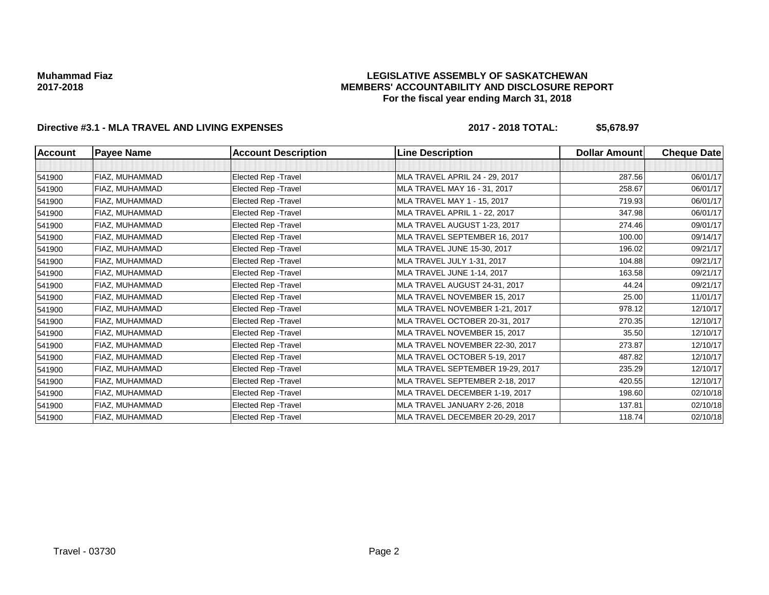### **LEGISLATIVE ASSEMBLY OF SASKATCHEWAN MEMBERS' ACCOUNTABILITY AND DISCLOSURE REPORT For the fiscal year ending March 31, 2018**

# **Directive #3.1 - MLA TRAVEL AND LIVING EXPENSES 2017 - 2018 TOTAL: \$5,678.97**

| <b>Account</b> | <b>Payee Name</b> | <b>Account Description</b>  | <b>Line Description</b>          | <b>Dollar Amount</b> | <b>Cheque Date</b> |
|----------------|-------------------|-----------------------------|----------------------------------|----------------------|--------------------|
|                |                   |                             |                                  |                      |                    |
| 541900         | FIAZ, MUHAMMAD    | <b>Elected Rep - Travel</b> | MLA TRAVEL APRIL 24 - 29, 2017   | 287.56               | 06/01/17           |
| 541900         | FIAZ, MUHAMMAD    | <b>Elected Rep - Travel</b> | MLA TRAVEL MAY 16 - 31, 2017     | 258.67               | 06/01/17           |
| 541900         | FIAZ, MUHAMMAD    | Elected Rep - Travel        | MLA TRAVEL MAY 1 - 15, 2017      | 719.93               | 06/01/17           |
| 541900         | FIAZ, MUHAMMAD    | Elected Rep - Travel        | MLA TRAVEL APRIL 1 - 22, 2017    | 347.98               | 06/01/17           |
| 541900         | FIAZ, MUHAMMAD    | Elected Rep - Travel        | MLA TRAVEL AUGUST 1-23, 2017     | 274.46               | 09/01/17           |
| 541900         | FIAZ, MUHAMMAD    | <b>Elected Rep - Travel</b> | MLA TRAVEL SEPTEMBER 16, 2017    | 100.00               | 09/14/17           |
| 541900         | FIAZ, MUHAMMAD    | Elected Rep - Travel        | MLA TRAVEL JUNE 15-30, 2017      | 196.02               | 09/21/17           |
| 541900         | FIAZ, MUHAMMAD    | Elected Rep - Travel        | MLA TRAVEL JULY 1-31, 2017       | 104.88               | 09/21/17           |
| 541900         | FIAZ, MUHAMMAD    | <b>Elected Rep - Travel</b> | MLA TRAVEL JUNE 1-14, 2017       | 163.58               | 09/21/17           |
| 541900         | FIAZ, MUHAMMAD    | Elected Rep - Travel        | MLA TRAVEL AUGUST 24-31, 2017    | 44.24                | 09/21/17           |
| 541900         | FIAZ, MUHAMMAD    | <b>Elected Rep - Travel</b> | MLA TRAVEL NOVEMBER 15, 2017     | 25.00                | 11/01/17           |
| 541900         | FIAZ, MUHAMMAD    | <b>Elected Rep - Travel</b> | MLA TRAVEL NOVEMBER 1-21, 2017   | 978.12               | 12/10/17           |
| 541900         | FIAZ, MUHAMMAD    | <b>Elected Rep - Travel</b> | MLA TRAVEL OCTOBER 20-31, 2017   | 270.35               | 12/10/17           |
| 541900         | FIAZ, MUHAMMAD    | <b>Elected Rep - Travel</b> | MLA TRAVEL NOVEMBER 15, 2017     | 35.50                | 12/10/17           |
| 541900         | FIAZ, MUHAMMAD    | Elected Rep - Travel        | MLA TRAVEL NOVEMBER 22-30, 2017  | 273.87               | 12/10/17           |
| 541900         | FIAZ, MUHAMMAD    | <b>Elected Rep - Travel</b> | MLA TRAVEL OCTOBER 5-19, 2017    | 487.82               | 12/10/17           |
| 541900         | FIAZ, MUHAMMAD    | <b>Elected Rep - Travel</b> | MLA TRAVEL SEPTEMBER 19-29, 2017 | 235.29               | 12/10/17           |
| 541900         | FIAZ, MUHAMMAD    | Elected Rep - Travel        | MLA TRAVEL SEPTEMBER 2-18, 2017  | 420.55               | 12/10/17           |
| 541900         | FIAZ, MUHAMMAD    | Elected Rep - Travel        | MLA TRAVEL DECEMBER 1-19, 2017   | 198.60               | 02/10/18           |
| 541900         | FIAZ, MUHAMMAD    | Elected Rep - Travel        | MLA TRAVEL JANUARY 2-26, 2018    | 137.81               | 02/10/18           |
| 541900         | FIAZ, MUHAMMAD    | <b>Elected Rep - Travel</b> | MLA TRAVEL DECEMBER 20-29, 2017  | 118.74               | 02/10/18           |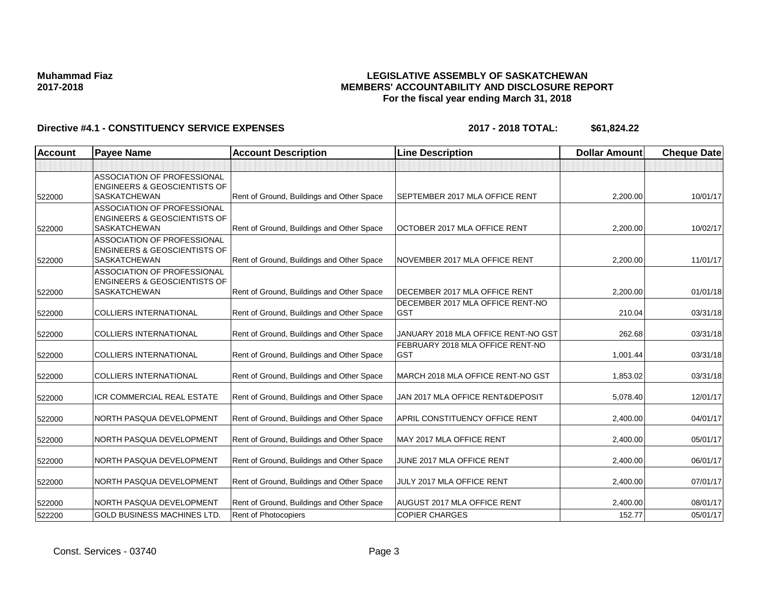### **LEGISLATIVE ASSEMBLY OF SASKATCHEWAN MEMBERS' ACCOUNTABILITY AND DISCLOSURE REPORT For the fiscal year ending March 31, 2018**

| <b>Account</b> | <b>Payee Name</b>                                                                             | <b>Account Description</b>                | <b>Line Description</b>                        | <b>Dollar Amount</b> | <b>Cheque Date</b> |
|----------------|-----------------------------------------------------------------------------------------------|-------------------------------------------|------------------------------------------------|----------------------|--------------------|
|                |                                                                                               |                                           |                                                |                      |                    |
| 522000         | ASSOCIATION OF PROFESSIONAL<br><b>ENGINEERS &amp; GEOSCIENTISTS OF</b><br><b>SASKATCHEWAN</b> | Rent of Ground, Buildings and Other Space | SEPTEMBER 2017 MLA OFFICE RENT                 | 2,200.00             | 10/01/17           |
|                | ASSOCIATION OF PROFESSIONAL                                                                   |                                           |                                                |                      |                    |
|                | <b>ENGINEERS &amp; GEOSCIENTISTS OF</b>                                                       |                                           |                                                |                      |                    |
| 522000         | <b>SASKATCHEWAN</b>                                                                           | Rent of Ground, Buildings and Other Space | OCTOBER 2017 MLA OFFICE RENT                   | 2,200.00             | 10/02/17           |
|                | <b>ASSOCIATION OF PROFESSIONAL</b><br><b>ENGINEERS &amp; GEOSCIENTISTS OF</b>                 |                                           |                                                |                      |                    |
| 522000         | <b>SASKATCHEWAN</b>                                                                           | Rent of Ground, Buildings and Other Space | NOVEMBER 2017 MLA OFFICE RENT                  | 2,200.00             | 11/01/17           |
|                | <b>ASSOCIATION OF PROFESSIONAL</b><br><b>ENGINEERS &amp; GEOSCIENTISTS OF</b>                 |                                           |                                                |                      |                    |
| 522000         | <b>SASKATCHEWAN</b>                                                                           | Rent of Ground, Buildings and Other Space | DECEMBER 2017 MLA OFFICE RENT                  | 2,200.00             | 01/01/18           |
| 522000         | <b>COLLIERS INTERNATIONAL</b>                                                                 | Rent of Ground, Buildings and Other Space | DECEMBER 2017 MLA OFFICE RENT-NO<br><b>GST</b> | 210.04               | 03/31/18           |
| 522000         | <b>COLLIERS INTERNATIONAL</b>                                                                 | Rent of Ground, Buildings and Other Space | JANUARY 2018 MLA OFFICE RENT-NO GST            | 262.68               | 03/31/18           |
| 522000         | <b>COLLIERS INTERNATIONAL</b>                                                                 | Rent of Ground, Buildings and Other Space | FEBRUARY 2018 MLA OFFICE RENT-NO<br><b>GST</b> | 1,001.44             | 03/31/18           |
| 522000         | <b>COLLIERS INTERNATIONAL</b>                                                                 | Rent of Ground, Buildings and Other Space | MARCH 2018 MLA OFFICE RENT-NO GST              | 1,853.02             | 03/31/18           |
| 522000         | <b>ICR COMMERCIAL REAL ESTATE</b>                                                             | Rent of Ground, Buildings and Other Space | JAN 2017 MLA OFFICE RENT&DEPOSIT               | 5,078.40             | 12/01/17           |
| 522000         | NORTH PASQUA DEVELOPMENT                                                                      | Rent of Ground, Buildings and Other Space | <b>APRIL CONSTITUENCY OFFICE RENT</b>          | 2,400.00             | 04/01/17           |
| 522000         | NORTH PASQUA DEVELOPMENT                                                                      | Rent of Ground, Buildings and Other Space | MAY 2017 MLA OFFICE RENT                       | 2,400.00             | 05/01/17           |
| 522000         | NORTH PASQUA DEVELOPMENT                                                                      | Rent of Ground, Buildings and Other Space | JUNE 2017 MLA OFFICE RENT                      | 2,400.00             | 06/01/17           |
| 522000         | NORTH PASQUA DEVELOPMENT                                                                      | Rent of Ground, Buildings and Other Space | JULY 2017 MLA OFFICE RENT                      | 2,400.00             | 07/01/17           |
| 522000         | NORTH PASQUA DEVELOPMENT                                                                      | Rent of Ground, Buildings and Other Space | <b>AUGUST 2017 MLA OFFICE RENT</b>             | 2,400.00             | 08/01/17           |
| 522200         | GOLD BUSINESS MACHINES LTD.                                                                   | Rent of Photocopiers                      | <b>COPIER CHARGES</b>                          | 152.77               | 05/01/17           |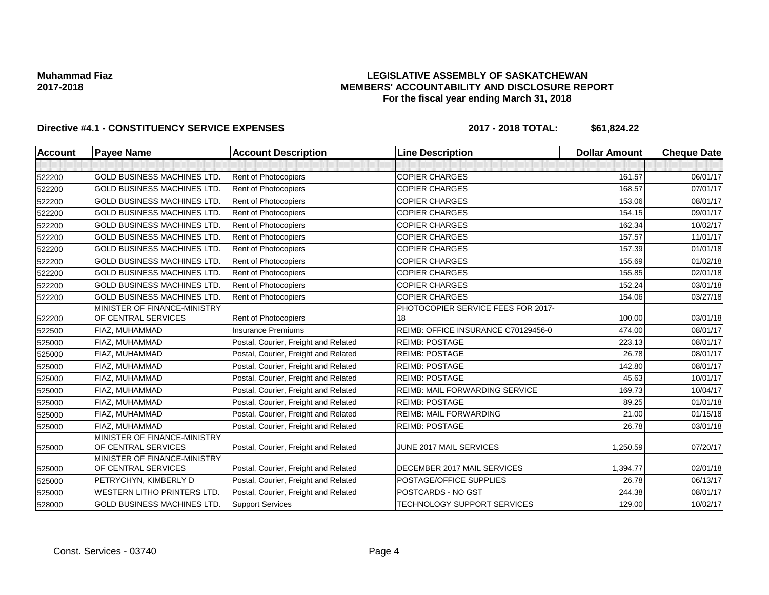### **LEGISLATIVE ASSEMBLY OF SASKATCHEWAN MEMBERS' ACCOUNTABILITY AND DISCLOSURE REPORT For the fiscal year ending March 31, 2018**

| <b>Account</b> | <b>Payee Name</b>                                   | <b>Account Description</b>           | <b>Line Description</b>               | <b>Dollar Amount</b> | <b>Cheque Date</b> |
|----------------|-----------------------------------------------------|--------------------------------------|---------------------------------------|----------------------|--------------------|
|                |                                                     |                                      |                                       |                      |                    |
| 522200         | <b>GOLD BUSINESS MACHINES LTD.</b>                  | Rent of Photocopiers                 | <b>COPIER CHARGES</b>                 | 161.57               | 06/01/17           |
| 522200         | <b>GOLD BUSINESS MACHINES LTD.</b>                  | Rent of Photocopiers                 | <b>COPIER CHARGES</b>                 | 168.57               | 07/01/17           |
| 522200         | <b>GOLD BUSINESS MACHINES LTD.</b>                  | Rent of Photocopiers                 | <b>COPIER CHARGES</b>                 | 153.06               | 08/01/17           |
| 522200         | <b>GOLD BUSINESS MACHINES LTD.</b>                  | <b>Rent of Photocopiers</b>          | <b>COPIER CHARGES</b>                 | 154.15               | 09/01/17           |
| 522200         | <b>GOLD BUSINESS MACHINES LTD.</b>                  | Rent of Photocopiers                 | <b>COPIER CHARGES</b>                 | 162.34               | 10/02/17           |
| 522200         | <b>GOLD BUSINESS MACHINES LTD</b>                   | Rent of Photocopiers                 | <b>COPIER CHARGES</b>                 | 157.57               | 11/01/17           |
| 522200         | <b>GOLD BUSINESS MACHINES LTD.</b>                  | <b>Rent of Photocopiers</b>          | <b>COPIER CHARGES</b>                 | 157.39               | 01/01/18           |
| 522200         | <b>GOLD BUSINESS MACHINES LTD.</b>                  | <b>Rent of Photocopiers</b>          | <b>COPIER CHARGES</b>                 | 155.69               | 01/02/18           |
| 522200         | <b>GOLD BUSINESS MACHINES LTD.</b>                  | <b>Rent of Photocopiers</b>          | <b>COPIER CHARGES</b>                 | 155.85               | 02/01/18           |
| 522200         | <b>GOLD BUSINESS MACHINES LTD.</b>                  | <b>Rent of Photocopiers</b>          | <b>COPIER CHARGES</b>                 | 152.24               | 03/01/18           |
| 522200         | <b>GOLD BUSINESS MACHINES LTD</b>                   | Rent of Photocopiers                 | <b>COPIER CHARGES</b>                 | 154.06               | 03/27/18           |
|                | MINISTER OF FINANCE-MINISTRY                        |                                      | PHOTOCOPIER SERVICE FEES FOR 2017-    |                      |                    |
| 522200         | OF CENTRAL SERVICES                                 | Rent of Photocopiers                 | 18                                    | 100.00               | 03/01/18           |
| 522500         | FIAZ, MUHAMMAD                                      | <b>Insurance Premiums</b>            | REIMB: OFFICE INSURANCE C70129456-0   | 474.00               | 08/01/17           |
| 525000         | FIAZ, MUHAMMAD                                      | Postal, Courier, Freight and Related | <b>REIMB: POSTAGE</b>                 | 223.13               | 08/01/17           |
| 525000         | FIAZ, MUHAMMAD                                      | Postal, Courier, Freight and Related | <b>REIMB: POSTAGE</b>                 | 26.78                | 08/01/17           |
| 525000         | FIAZ, MUHAMMAD                                      | Postal, Courier, Freight and Related | <b>REIMB: POSTAGE</b>                 | 142.80               | 08/01/17           |
| 525000         | FIAZ, MUHAMMAD                                      | Postal, Courier, Freight and Related | <b>REIMB: POSTAGE</b>                 | 45.63                | 10/01/17           |
| 525000         | FIAZ, MUHAMMAD                                      | Postal, Courier, Freight and Related | <b>REIMB: MAIL FORWARDING SERVICE</b> | 169.73               | 10/04/17           |
| 525000         | FIAZ, MUHAMMAD                                      | Postal, Courier, Freight and Related | <b>REIMB: POSTAGE</b>                 | 89.25                | 01/01/18           |
| 525000         | FIAZ, MUHAMMAD                                      | Postal, Courier, Freight and Related | <b>REIMB: MAIL FORWARDING</b>         | 21.00                | 01/15/18           |
| 525000         | FIAZ, MUHAMMAD                                      | Postal, Courier, Freight and Related | <b>REIMB: POSTAGE</b>                 | 26.78                | 03/01/18           |
| 525000         | MINISTER OF FINANCE-MINISTRY<br>OF CENTRAL SERVICES | Postal, Courier, Freight and Related | JUNE 2017 MAIL SERVICES               | 1,250.59             | 07/20/17           |
| 525000         | MINISTER OF FINANCE-MINISTRY<br>OF CENTRAL SERVICES | Postal, Courier, Freight and Related | DECEMBER 2017 MAIL SERVICES           | 1,394.77             | 02/01/18           |
| 525000         | PETRYCHYN, KIMBERLY D                               | Postal, Courier, Freight and Related | POSTAGE/OFFICE SUPPLIES               | 26.78                | 06/13/17           |
| 525000         | <b>WESTERN LITHO PRINTERS LTD.</b>                  | Postal, Courier, Freight and Related | POSTCARDS - NO GST                    | 244.38               | 08/01/17           |
| 528000         | <b>GOLD BUSINESS MACHINES LTD</b>                   | <b>Support Services</b>              | TECHNOLOGY SUPPORT SERVICES           | 129.00               | 10/02/17           |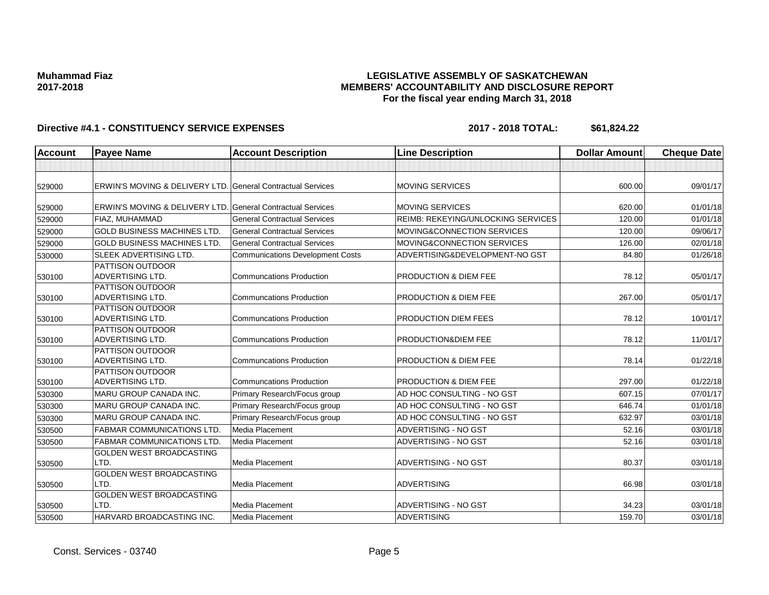### **LEGISLATIVE ASSEMBLY OF SASKATCHEWAN MEMBERS' ACCOUNTABILITY AND DISCLOSURE REPORT For the fiscal year ending March 31, 2018**

| <b>Account</b> | <b>Payee Name</b>                                                      | <b>Account Description</b>              | <b>Line Description</b>            | <b>Dollar Amount</b> | <b>Cheque Date</b> |
|----------------|------------------------------------------------------------------------|-----------------------------------------|------------------------------------|----------------------|--------------------|
|                |                                                                        |                                         |                                    |                      |                    |
| 529000         | <b>ERWIN'S MOVING &amp; DELIVERY LTD. General Contractual Services</b> |                                         | <b>MOVING SERVICES</b>             | 600.00               | 09/01/17           |
| 529000         | ERWIN'S MOVING & DELIVERY LTD.                                         | <b>General Contractual Services</b>     | <b>MOVING SERVICES</b>             | 620.00               | 01/01/18           |
| 529000         | FIAZ, MUHAMMAD                                                         | <b>General Contractual Services</b>     | REIMB: REKEYING/UNLOCKING SERVICES | 120.00               | 01/01/18           |
| 529000         | <b>GOLD BUSINESS MACHINES LTD</b>                                      | <b>General Contractual Services</b>     | MOVING&CONNECTION SERVICES         | 120.00               | 09/06/17           |
| 529000         | <b>GOLD BUSINESS MACHINES LTD.</b>                                     | <b>General Contractual Services</b>     | MOVING&CONNECTION SERVICES         | 126.00               | 02/01/18           |
| 530000         | <b>SLEEK ADVERTISING LTD.</b>                                          | <b>Communications Development Costs</b> | ADVERTISING&DEVELOPMENT-NO GST     | 84.80                | 01/26/18           |
| 530100         | <b>PATTISON OUTDOOR</b><br><b>ADVERTISING LTD.</b>                     | <b>Communcations Production</b>         | <b>PRODUCTION &amp; DIEM FEE</b>   | 78.12                | 05/01/17           |
| 530100         | <b>PATTISON OUTDOOR</b><br><b>ADVERTISING LTD.</b>                     | <b>Communcations Production</b>         | <b>PRODUCTION &amp; DIEM FEE</b>   | 267.00               | 05/01/17           |
| 530100         | <b>PATTISON OUTDOOR</b><br><b>ADVERTISING LTD.</b>                     | <b>Communcations Production</b>         | PRODUCTION DIEM FEES               | 78.12                | 10/01/17           |
| 530100         | <b>PATTISON OUTDOOR</b><br><b>ADVERTISING LTD.</b>                     | <b>Communcations Production</b>         | PRODUCTION& DIEM FEE               | 78.12                | 11/01/17           |
| 530100         | <b>PATTISON OUTDOOR</b><br><b>ADVERTISING LTD.</b>                     | <b>Communcations Production</b>         | PRODUCTION & DIEM FEE              | 78.14                | 01/22/18           |
| 530100         | <b>PATTISON OUTDOOR</b><br><b>ADVERTISING LTD.</b>                     | <b>Communcations Production</b>         | PRODUCTION & DIEM FEE              | 297.00               | 01/22/18           |
| 530300         | <b>MARU GROUP CANADA INC.</b>                                          | Primary Research/Focus group            | AD HOC CONSULTING - NO GST         | 607.15               | 07/01/17           |
| 530300         | <b>MARU GROUP CANADA INC.</b>                                          | Primary Research/Focus group            | AD HOC CONSULTING - NO GST         | 646.74               | 01/01/18           |
| 530300         | MARU GROUP CANADA INC.                                                 | Primary Research/Focus group            | AD HOC CONSULTING - NO GST         | 632.97               | 03/01/18           |
| 530500         | <b>FABMAR COMMUNICATIONS LTD.</b>                                      | Media Placement                         | ADVERTISING - NO GST               | 52.16                | 03/01/18           |
| 530500         | <b>FABMAR COMMUNICATIONS LTD</b>                                       | Media Placement                         | ADVERTISING - NO GST               | 52.16                | 03/01/18           |
| 530500         | <b>GOLDEN WEST BROADCASTING</b><br>LTD.                                | Media Placement                         | ADVERTISING - NO GST               | 80.37                | 03/01/18           |
| 530500         | GOLDEN WEST BROADCASTING<br>LTD.                                       | Media Placement                         | <b>ADVERTISING</b>                 | 66.98                | 03/01/18           |
| 530500         | GOLDEN WEST BROADCASTING<br>LTD.                                       | Media Placement                         | ADVERTISING - NO GST               | 34.23                | 03/01/18           |
| 530500         | HARVARD BROADCASTING INC.                                              | Media Placement                         | <b>ADVERTISING</b>                 | 159.70               | 03/01/18           |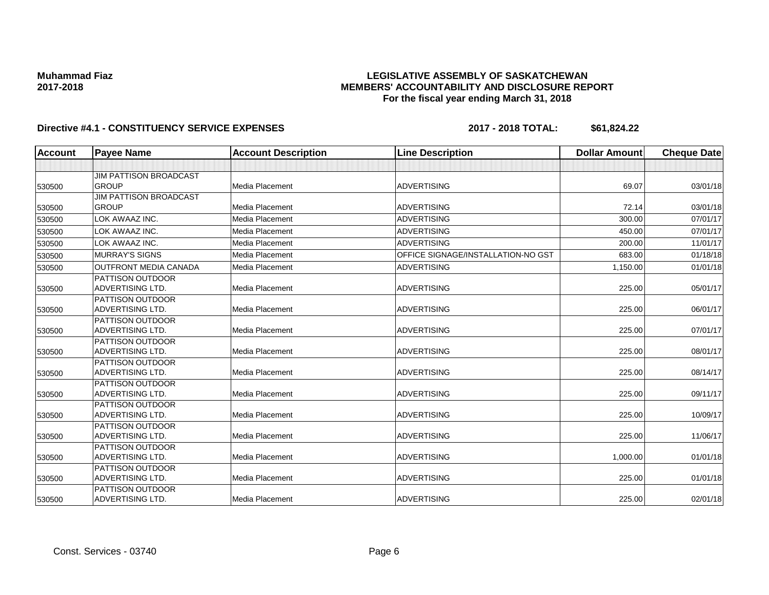### **LEGISLATIVE ASSEMBLY OF SASKATCHEWAN MEMBERS' ACCOUNTABILITY AND DISCLOSURE REPORT For the fiscal year ending March 31, 2018**

| <b>Account</b> | <b>Payee Name</b>                                  | <b>Account Description</b> | <b>Line Description</b>            | <b>Dollar Amount</b> | <b>Cheque Date</b> |
|----------------|----------------------------------------------------|----------------------------|------------------------------------|----------------------|--------------------|
|                |                                                    |                            |                                    |                      |                    |
|                | <b>JIM PATTISON BROADCAST</b>                      |                            |                                    |                      |                    |
| 530500         | <b>GROUP</b>                                       | Media Placement            | <b>ADVERTISING</b>                 | 69.07                | 03/01/18           |
|                | <b>JIM PATTISON BROADCAST</b>                      |                            |                                    |                      |                    |
| 530500         | <b>GROUP</b>                                       | Media Placement            | <b>ADVERTISING</b>                 | 72.14                | 03/01/18           |
| 530500         | LOK AWAAZ INC.                                     | Media Placement            | <b>ADVERTISING</b>                 | 300.00               | 07/01/17           |
| 530500         | LOK AWAAZ INC.                                     | Media Placement            | <b>ADVERTISING</b>                 | 450.00               | 07/01/17           |
| 530500         | LOK AWAAZ INC.                                     | Media Placement            | <b>ADVERTISING</b>                 | 200.00               | 11/01/17           |
| 530500         | <b>MURRAY'S SIGNS</b>                              | Media Placement            | OFFICE SIGNAGE/INSTALLATION-NO GST | 683.00               | 01/18/18           |
| 530500         | <b>OUTFRONT MEDIA CANADA</b>                       | Media Placement            | <b>ADVERTISING</b>                 | 1,150.00             | 01/01/18           |
|                | <b>PATTISON OUTDOOR</b>                            |                            |                                    |                      |                    |
| 530500         | <b>ADVERTISING LTD.</b>                            | Media Placement            | <b>ADVERTISING</b>                 | 225.00               | 05/01/17           |
|                | PATTISON OUTDOOR                                   |                            |                                    |                      |                    |
| 530500         | ADVERTISING LTD.                                   | Media Placement            | <b>ADVERTISING</b>                 | 225.00               | 06/01/17           |
|                | <b>PATTISON OUTDOOR</b>                            |                            |                                    |                      |                    |
| 530500         | <b>ADVERTISING LTD.</b>                            | Media Placement            | <b>ADVERTISING</b>                 | 225.00               | 07/01/17           |
|                | <b>PATTISON OUTDOOR</b>                            |                            |                                    |                      |                    |
| 530500         | <b>ADVERTISING LTD.</b>                            | Media Placement            | <b>ADVERTISING</b>                 | 225.00               | 08/01/17           |
|                | <b>PATTISON OUTDOOR</b><br><b>ADVERTISING LTD.</b> | Media Placement            | <b>ADVERTISING</b>                 | 225.00               | 08/14/17           |
| 530500         | <b>PATTISON OUTDOOR</b>                            |                            |                                    |                      |                    |
| 530500         | <b>ADVERTISING LTD.</b>                            | Media Placement            | <b>ADVERTISING</b>                 | 225.00               | 09/11/17           |
|                | PATTISON OUTDOOR                                   |                            |                                    |                      |                    |
| 530500         | <b>ADVERTISING LTD.</b>                            | Media Placement            | <b>ADVERTISING</b>                 | 225.00               | 10/09/17           |
|                | <b>PATTISON OUTDOOR</b>                            |                            |                                    |                      |                    |
| 530500         | <b>ADVERTISING LTD.</b>                            | Media Placement            | <b>ADVERTISING</b>                 | 225.00               | 11/06/17           |
|                | <b>PATTISON OUTDOOR</b>                            |                            |                                    |                      |                    |
| 530500         | <b>ADVERTISING LTD.</b>                            | Media Placement            | <b>ADVERTISING</b>                 | 1,000.00             | 01/01/18           |
|                | <b>PATTISON OUTDOOR</b>                            |                            |                                    |                      |                    |
| 530500         | <b>ADVERTISING LTD.</b>                            | Media Placement            | <b>ADVERTISING</b>                 | 225.00               | 01/01/18           |
|                | <b>PATTISON OUTDOOR</b>                            |                            |                                    |                      |                    |
| 530500         | <b>ADVERTISING LTD.</b>                            | Media Placement            | <b>ADVERTISING</b>                 | 225.00               | 02/01/18           |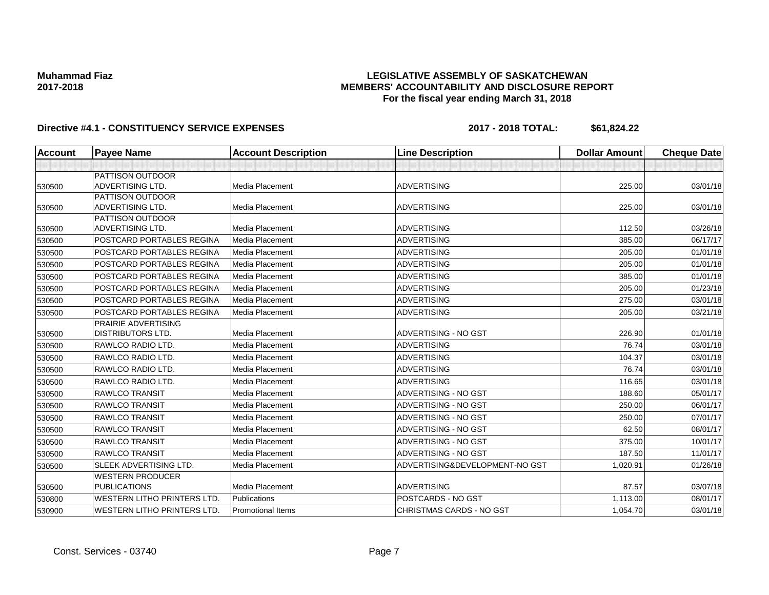### **LEGISLATIVE ASSEMBLY OF SASKATCHEWAN MEMBERS' ACCOUNTABILITY AND DISCLOSURE REPORT For the fiscal year ending March 31, 2018**

| <b>Account</b> | <b>Payee Name</b>                              | <b>Account Description</b> | <b>Line Description</b>         | <b>Dollar Amount</b> | <b>Cheque Date</b> |
|----------------|------------------------------------------------|----------------------------|---------------------------------|----------------------|--------------------|
|                |                                                |                            |                                 |                      |                    |
|                | PATTISON OUTDOOR                               |                            |                                 |                      |                    |
| 530500         | ADVERTISING LTD.                               | Media Placement            | <b>ADVERTISING</b>              | 225.00               | 03/01/18           |
|                | PATTISON OUTDOOR                               |                            |                                 |                      |                    |
| 530500         | ADVERTISING LTD.                               | Media Placement            | <b>ADVERTISING</b>              | 225.00               | 03/01/18           |
| 530500         | PATTISON OUTDOOR<br>ADVERTISING LTD.           | Media Placement            | <b>ADVERTISING</b>              | 112.50               | 03/26/18           |
| 530500         | POSTCARD PORTABLES REGINA                      | <b>Media Placement</b>     | <b>ADVERTISING</b>              | 385.00               | 06/17/17           |
| 530500         | POSTCARD PORTABLES REGINA                      | Media Placement            | <b>ADVERTISING</b>              | 205.00               | 01/01/18           |
| 530500         | POSTCARD PORTABLES REGINA                      | Media Placement            | <b>ADVERTISING</b>              | 205.00               | 01/01/18           |
| 530500         | POSTCARD PORTABLES REGINA                      | Media Placement            | <b>ADVERTISING</b>              | 385.00               | 01/01/18           |
| 530500         | POSTCARD PORTABLES REGINA                      | Media Placement            | <b>ADVERTISING</b>              | 205.00               | 01/23/18           |
| 530500         | POSTCARD PORTABLES REGINA                      | <b>Media Placement</b>     | <b>ADVERTISING</b>              | 275.00               | 03/01/18           |
| 530500         | POSTCARD PORTABLES REGINA                      | Media Placement            | <b>ADVERTISING</b>              | 205.00               | 03/21/18           |
|                | PRAIRIE ADVERTISING                            |                            |                                 |                      |                    |
| 530500         | <b>DISTRIBUTORS LTD.</b>                       | Media Placement            | ADVERTISING - NO GST            | 226.90               | 01/01/18           |
| 530500         | RAWLCO RADIO LTD.                              | Media Placement            | <b>ADVERTISING</b>              | 76.74                | 03/01/18           |
| 530500         | RAWLCO RADIO LTD.                              | Media Placement            | <b>ADVERTISING</b>              | 104.37               | 03/01/18           |
| 530500         | RAWLCO RADIO LTD.                              | Media Placement            | <b>ADVERTISING</b>              | 76.74                | 03/01/18           |
| 530500         | RAWLCO RADIO LTD.                              | Media Placement            | <b>ADVERTISING</b>              | 116.65               | 03/01/18           |
| 530500         | <b>RAWLCO TRANSIT</b>                          | Media Placement            | ADVERTISING - NO GST            | 188.60               | 05/01/17           |
| 530500         | <b>RAWLCO TRANSIT</b>                          | Media Placement            | ADVERTISING - NO GST            | 250.00               | 06/01/17           |
| 530500         | <b>RAWLCO TRANSIT</b>                          | Media Placement            | ADVERTISING - NO GST            | 250.00               | 07/01/17           |
| 530500         | <b>RAWLCO TRANSIT</b>                          | Media Placement            | ADVERTISING - NO GST            | 62.50                | 08/01/17           |
| 530500         | <b>RAWLCO TRANSIT</b>                          | Media Placement            | ADVERTISING - NO GST            | 375.00               | 10/01/17           |
| 530500         | <b>RAWLCO TRANSIT</b>                          | Media Placement            | ADVERTISING - NO GST            | 187.50               | 11/01/17           |
| 530500         | SLEEK ADVERTISING LTD.                         | Media Placement            | ADVERTISING&DEVELOPMENT-NO GST  | 1,020.91             | 01/26/18           |
| 530500         | <b>WESTERN PRODUCER</b><br><b>PUBLICATIONS</b> | Media Placement            | <b>ADVERTISING</b>              | 87.57                | 03/07/18           |
| 530800         | <b>WESTERN LITHO PRINTERS LTD.</b>             | <b>Publications</b>        | POSTCARDS - NO GST              | 1,113.00             | 08/01/17           |
| 530900         | <b>WESTERN LITHO PRINTERS LTD.</b>             | <b>Promotional Items</b>   | <b>CHRISTMAS CARDS - NO GST</b> | 1,054.70             | 03/01/18           |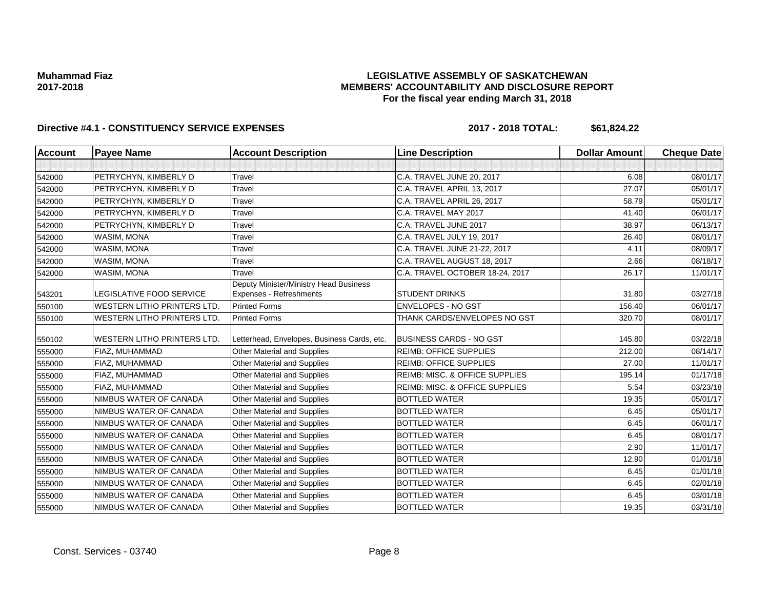### **LEGISLATIVE ASSEMBLY OF SASKATCHEWAN MEMBERS' ACCOUNTABILITY AND DISCLOSURE REPORT For the fiscal year ending March 31, 2018**

| <b>Account</b> | <b>Payee Name</b>                  | <b>Account Description</b>                                        | <b>Line Description</b>                   | <b>Dollar Amount</b> | <b>Cheque Date</b> |
|----------------|------------------------------------|-------------------------------------------------------------------|-------------------------------------------|----------------------|--------------------|
|                |                                    |                                                                   |                                           |                      |                    |
| 542000         | PETRYCHYN, KIMBERLY D              | Travel                                                            | C.A. TRAVEL JUNE 20, 2017                 | 6.08                 | 08/01/17           |
| 542000         | PETRYCHYN, KIMBERLY D              | Travel                                                            | C.A. TRAVEL APRIL 13, 2017                | 27.07                | 05/01/17           |
| 542000         | PETRYCHYN, KIMBERLY D              | Travel                                                            | C.A. TRAVEL APRIL 26, 2017                | 58.79                | 05/01/17           |
| 542000         | PETRYCHYN, KIMBERLY D              | Travel                                                            | C.A. TRAVEL MAY 2017                      | 41.40                | 06/01/17           |
| 542000         | PETRYCHYN, KIMBERLY D              | <b>Travel</b>                                                     | C.A. TRAVEL JUNE 2017                     | 38.97                | 06/13/17           |
| 542000         | WASIM, MONA                        | Travel                                                            | C.A. TRAVEL JULY 19, 2017                 | 26.40                | 08/01/17           |
| 542000         | WASIM, MONA                        | Travel                                                            | C.A. TRAVEL JUNE 21-22, 2017              | 4.11                 | 08/09/17           |
| 542000         | WASIM, MONA                        | Travel                                                            | C.A. TRAVEL AUGUST 18, 2017               | 2.66                 | 08/18/17           |
| 542000         | WASIM, MONA                        | Travel                                                            | C.A. TRAVEL OCTOBER 18-24, 2017           | 26.17                | 11/01/17           |
| 543201         | LEGISLATIVE FOOD SERVICE           | Deputy Minister/Ministry Head Business<br>Expenses - Refreshments | <b>STUDENT DRINKS</b>                     | 31.80                | 03/27/18           |
| 550100         | <b>WESTERN LITHO PRINTERS LTD.</b> | <b>Printed Forms</b>                                              | <b>ENVELOPES - NO GST</b>                 | 156.40               | 06/01/17           |
| 550100         | <b>WESTERN LITHO PRINTERS LTD.</b> | <b>Printed Forms</b>                                              | THANK CARDS/ENVELOPES NO GST              | 320.70               | 08/01/17           |
| 550102         | <b>WESTERN LITHO PRINTERS LTD.</b> | Letterhead, Envelopes, Business Cards, etc.                       | <b>BUSINESS CARDS - NO GST</b>            | 145.80               | 03/22/18           |
| 555000         | FIAZ, MUHAMMAD                     | Other Material and Supplies                                       | <b>REIMB: OFFICE SUPPLIES</b>             | 212.00               | 08/14/17           |
| 555000         | FIAZ, MUHAMMAD                     | Other Material and Supplies                                       | <b>REIMB: OFFICE SUPPLIES</b>             | 27.00                | 11/01/17           |
| 555000         | FIAZ, MUHAMMAD                     | Other Material and Supplies                                       | <b>REIMB: MISC. &amp; OFFICE SUPPLIES</b> | 195.14               | 01/17/18           |
| 555000         | FIAZ, MUHAMMAD                     | Other Material and Supplies                                       | REIMB: MISC. & OFFICE SUPPLIES            | 5.54                 | 03/23/18           |
| 555000         | NIMBUS WATER OF CANADA             | Other Material and Supplies                                       | <b>BOTTLED WATER</b>                      | 19.35                | 05/01/17           |
| 555000         | NIMBUS WATER OF CANADA             | <b>Other Material and Supplies</b>                                | <b>BOTTLED WATER</b>                      | 6.45                 | 05/01/17           |
| 555000         | NIMBUS WATER OF CANADA             | <b>Other Material and Supplies</b>                                | <b>BOTTLED WATER</b>                      | 6.45                 | 06/01/17           |
| 555000         | NIMBUS WATER OF CANADA             | Other Material and Supplies                                       | <b>BOTTLED WATER</b>                      | 6.45                 | 08/01/17           |
| 555000         | NIMBUS WATER OF CANADA             | Other Material and Supplies                                       | <b>BOTTLED WATER</b>                      | 2.90                 | 11/01/17           |
| 555000         | NIMBUS WATER OF CANADA             | Other Material and Supplies                                       | <b>BOTTLED WATER</b>                      | 12.90                | 01/01/18           |
| 555000         | NIMBUS WATER OF CANADA             | Other Material and Supplies                                       | <b>BOTTLED WATER</b>                      | 6.45                 | 01/01/18           |
| 555000         | NIMBUS WATER OF CANADA             | Other Material and Supplies                                       | <b>BOTTLED WATER</b>                      | 6.45                 | 02/01/18           |
| 555000         | NIMBUS WATER OF CANADA             | Other Material and Supplies                                       | <b>BOTTLED WATER</b>                      | 6.45                 | 03/01/18           |
| 555000         | NIMBUS WATER OF CANADA             | Other Material and Supplies                                       | <b>BOTTLED WATER</b>                      | 19.35                | 03/31/18           |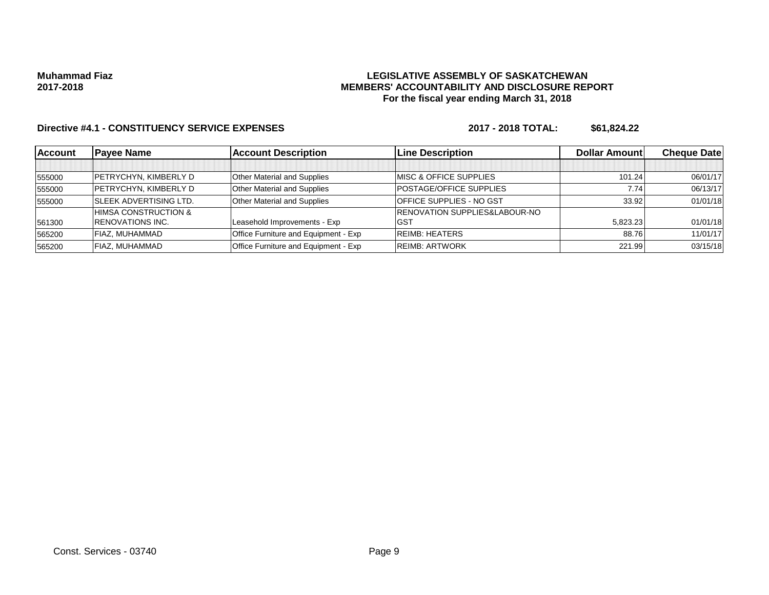### **LEGISLATIVE ASSEMBLY OF SASKATCHEWAN MEMBERS' ACCOUNTABILITY AND DISCLOSURE REPORT For the fiscal year ending March 31, 2018**

| <b>Account</b> | <b>Payee Name</b>             | <b>Account Description</b>           | <b>Line Description</b>                  | <b>Dollar Amount</b> | <b>Cheque Datel</b> |
|----------------|-------------------------------|--------------------------------------|------------------------------------------|----------------------|---------------------|
|                |                               |                                      |                                          |                      |                     |
| 555000         | PETRYCHYN, KIMBERLY D         | <b>Other Material and Supplies</b>   | <b>IMISC &amp; OFFICE SUPPLIES</b>       | 101.24               | 06/01/17            |
| 555000         | <b>PETRYCHYN, KIMBERLY D</b>  | <b>Other Material and Supplies</b>   | <b>POSTAGE/OFFICE SUPPLIES</b>           | 7.74                 | 06/13/17            |
| 555000         | <b>SLEEK ADVERTISING LTD.</b> | <b>Other Material and Supplies</b>   | <b>OFFICE SUPPLIES - NO GST</b>          | 33.92                | 01/01/18            |
|                | HIMSA CONSTRUCTION &          |                                      | <b>RENOVATION SUPPLIES&amp;LABOUR-NO</b> |                      |                     |
| 561300         | <b>RENOVATIONS INC.</b>       | Leasehold Improvements - Exp         | <b>GST</b>                               | 5,823.23             | 01/01/18            |
| 565200         | FIAZ, MUHAMMAD                | Office Furniture and Equipment - Exp | <b>REIMB: HEATERS</b>                    | 88.76                | 11/01/17            |
| 565200         | FIAZ. MUHAMMAD                | Office Furniture and Equipment - Exp | <b>REIMB: ARTWORK</b>                    | 221.99               | 03/15/18            |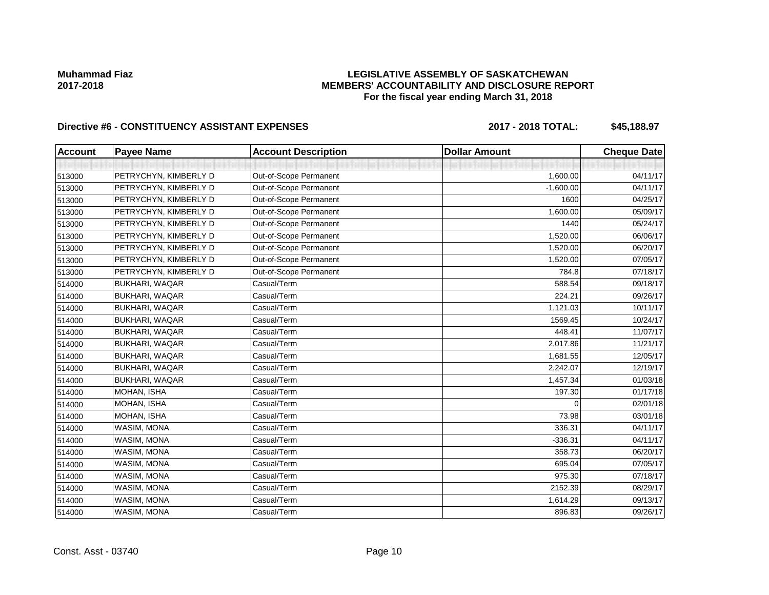### **LEGISLATIVE ASSEMBLY OF SASKATCHEWAN MEMBERS' ACCOUNTABILITY AND DISCLOSURE REPORT For the fiscal year ending March 31, 2018**

# Directive #6 - CONSTITUENCY ASSISTANT EXPENSES 2017 - 2018 TOTAL: \$45,188.97

| <b>Account</b> | <b>Payee Name</b>     | <b>Account Description</b> | <b>Dollar Amount</b> | <b>Cheque Date</b> |
|----------------|-----------------------|----------------------------|----------------------|--------------------|
|                |                       |                            |                      |                    |
| 513000         | PETRYCHYN, KIMBERLY D | Out-of-Scope Permanent     | 1,600.00             | 04/11/17           |
| 513000         | PETRYCHYN, KIMBERLY D | Out-of-Scope Permanent     | $-1,600.00$          | 04/11/17           |
| 513000         | PETRYCHYN, KIMBERLY D | Out-of-Scope Permanent     | 1600                 | 04/25/17           |
| 513000         | PETRYCHYN, KIMBERLY D | Out-of-Scope Permanent     | 1,600.00             | 05/09/17           |
| 513000         | PETRYCHYN, KIMBERLY D | Out-of-Scope Permanent     | 1440                 | 05/24/17           |
| 513000         | PETRYCHYN, KIMBERLY D | Out-of-Scope Permanent     | 1,520.00             | 06/06/17           |
| 513000         | PETRYCHYN, KIMBERLY D | Out-of-Scope Permanent     | 1,520.00             | 06/20/17           |
| 513000         | PETRYCHYN, KIMBERLY D | Out-of-Scope Permanent     | 1,520.00             | 07/05/17           |
| 513000         | PETRYCHYN, KIMBERLY D | Out-of-Scope Permanent     | 784.8                | 07/18/17           |
| 514000         | <b>BUKHARI, WAQAR</b> | Casual/Term                | 588.54               | 09/18/17           |
| 514000         | BUKHARI, WAQAR        | Casual/Term                | 224.21               | 09/26/17           |
| 514000         | BUKHARI, WAQAR        | Casual/Term                | 1,121.03             | 10/11/17           |
| 514000         | BUKHARI, WAQAR        | Casual/Term                | 1569.45              | 10/24/17           |
| 514000         | BUKHARI, WAQAR        | Casual/Term                | 448.41               | 11/07/17           |
| 514000         | BUKHARI, WAQAR        | Casual/Term                | 2,017.86             | 11/21/17           |
| 514000         | BUKHARI, WAQAR        | Casual/Term                | 1,681.55             | 12/05/17           |
| 514000         | <b>BUKHARI, WAQAR</b> | Casual/Term                | 2,242.07             | 12/19/17           |
| 514000         | <b>BUKHARI, WAQAR</b> | Casual/Term                | 1,457.34             | 01/03/18           |
| 514000         | MOHAN, ISHA           | Casual/Term                | 197.30               | 01/17/18           |
| 514000         | MOHAN, ISHA           | Casual/Term                | 0                    | 02/01/18           |
| 514000         | MOHAN, ISHA           | Casual/Term                | 73.98                | 03/01/18           |
| 514000         | WASIM, MONA           | Casual/Term                | 336.31               | 04/11/17           |
| 514000         | WASIM, MONA           | Casual/Term                | $-336.31$            | 04/11/17           |
| 514000         | WASIM, MONA           | Casual/Term                | 358.73               | 06/20/17           |
| 514000         | WASIM, MONA           | Casual/Term                | 695.04               | 07/05/17           |
| 514000         | WASIM, MONA           | Casual/Term                | 975.30               | 07/18/17           |
| 514000         | WASIM, MONA           | Casual/Term                | 2152.39              | 08/29/17           |
| 514000         | WASIM, MONA           | Casual/Term                | 1,614.29             | 09/13/17           |
| 514000         | WASIM, MONA           | Casual/Term                | 896.83               | 09/26/17           |